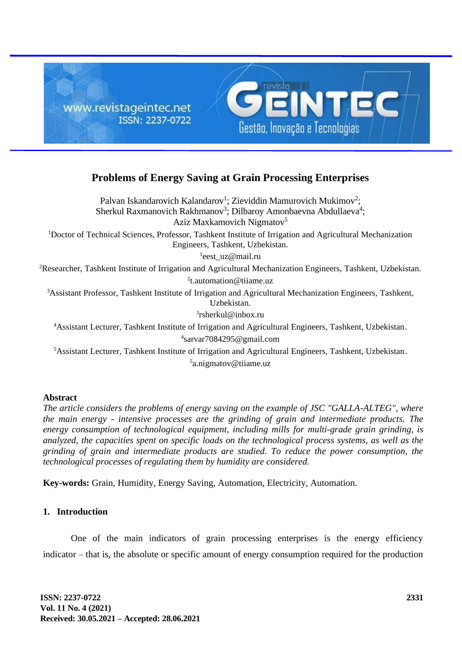

# **Problems of Energy Saving at Grain Processing Enterprises**

Palvan Iskandarovich Kalandarov<sup>1</sup>; Zieviddin Mamurovich Mukimov<sup>2</sup>; Sherkul Raxmanovich Rakhmanov<sup>3</sup>; Dilbaroy Amonbaevna Abdullaeva<sup>4</sup>; Aziz Maxkamovich Nigmatov<sup>5</sup> <sup>1</sup>Doctor of Technical Sciences, Professor, Tashkent Institute of Irrigation and Agricultural Mechanization Engineers, Tashkent, Uzbekistan. 1 eest\_uz@mail.ru <sup>2</sup>Researcher, Tashkent Institute of Irrigation and Agricultural Mechanization Engineers, Tashkent, Uzbekistan. 2 [t.automation@tiiame.uz](mailto:t.automation@tiiame.uz) <sup>3</sup>Assistant Professor, Tashkent Institute of Irrigation and Agricultural Mechanization Engineers, Tashkent, Uzbekistan. 3 [rsherkul@inbox.ru](mailto:rsherkul@inbox.ru) <sup>4</sup>Assistant Lecturer, Tashkent Institute of Irrigation and Agricultural Engineers, Tashkent, Uzbekistan. 4 [sarvar7084295@gmail.com](mailto:sarvar7084295@gmail.com) <sup>5</sup>Assistant Lecturer, Tashkent Institute of Irrigation and Agricultural Engineers, Tashkent, Uzbekistan.

5 a.nigmatov@tiiame.uz

# **Abstract**

*The article considers the problems of energy saving on the example of JSC "GALLA-ALTEG", where the main energy - intensive processes are the grinding of grain and intermediate products. The energy consumption of technological equipment, including mills for multi-grade grain grinding, is analyzed, the capacities spent on specific loads on the technological process systems, as well as the grinding of grain and intermediate products are studied. To reduce the power consumption, the technological processes of regulating them by humidity are considered.*

**Key-words:** Grain, Humidity, Energy Saving, Automation, Electricity, Automation.

# **1. Introduction**

One of the main indicators of grain processing enterprises is the energy efficiency indicator – that is, the absolute or specific amount of energy consumption required for the production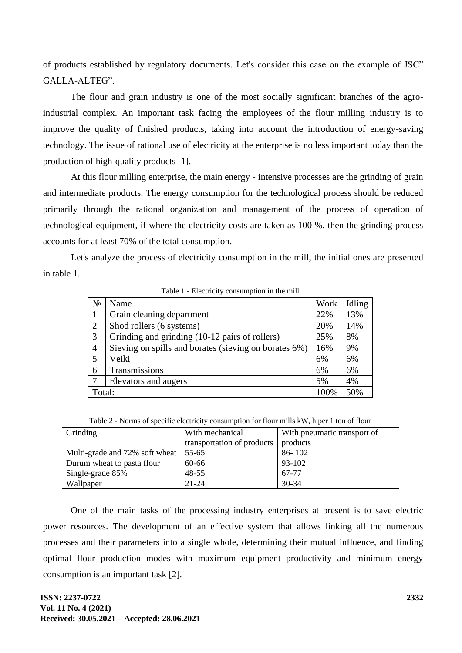of products established by regulatory documents. Let's consider this case on the example of JSC" GALLA-ALTEG".

The flour and grain industry is one of the most socially significant branches of the agroindustrial complex. An important task facing the employees of the flour milling industry is to improve the quality of finished products, taking into account the introduction of energy-saving technology. The issue of rational use of electricity at the enterprise is no less important today than the production of high-quality products [1].

At this flour milling enterprise, the main energy - intensive processes are the grinding of grain and intermediate products. The energy consumption for the technological process should be reduced primarily through the rational organization and management of the process of operation of technological equipment, if where the electricity costs are taken as 100 %, then the grinding process accounts for at least 70% of the total consumption.

Let's analyze the process of electricity consumption in the mill, the initial ones are presented in table 1.

| raore reflection, consumption in the mini- |                                                       |      |        |  |  |  |  |
|--------------------------------------------|-------------------------------------------------------|------|--------|--|--|--|--|
| $N_2$                                      | Name                                                  | Work | Idling |  |  |  |  |
|                                            | Grain cleaning department                             | 22%  | 13%    |  |  |  |  |
| $\overline{2}$                             | Shod rollers (6 systems)                              | 20%  | 14%    |  |  |  |  |
| 3                                          | Grinding and grinding (10-12 pairs of rollers)        | 25%  | 8%     |  |  |  |  |
| $\overline{4}$                             | Sieving on spills and borates (sieving on borates 6%) | 16%  | 9%     |  |  |  |  |
| 5                                          | Veiki                                                 | 6%   | 6%     |  |  |  |  |
| 6                                          | Transmissions                                         | 6%   | 6%     |  |  |  |  |
| 7                                          | Elevators and augers                                  | 5%   | 4%     |  |  |  |  |
| Total:                                     |                                                       | 100% | 50%    |  |  |  |  |

Table 1 - Electricity consumption in the mill

Table 2 - Norms of specific electricity consumption for flour mills kW, h per 1 ton of flour

| Grinding                       | With mechanical<br>transportation of products | With pneumatic transport of<br>products |
|--------------------------------|-----------------------------------------------|-----------------------------------------|
| Multi-grade and 72% soft wheat | 55-65                                         | $86 - 102$                              |
| Durum wheat to pasta flour     | 60-66                                         | 93-102                                  |
| Single-grade 85%               | $48 - 55$                                     | 67-77                                   |
| Wallpaper                      | $21 - 24$                                     | $30 - 34$                               |

One of the main tasks of the processing industry enterprises at present is to save electric power resources. The development of an effective system that allows linking all the numerous processes and their parameters into a single whole, determining their mutual influence, and finding optimal flour production modes with maximum equipment productivity and minimum energy consumption is an important task [2].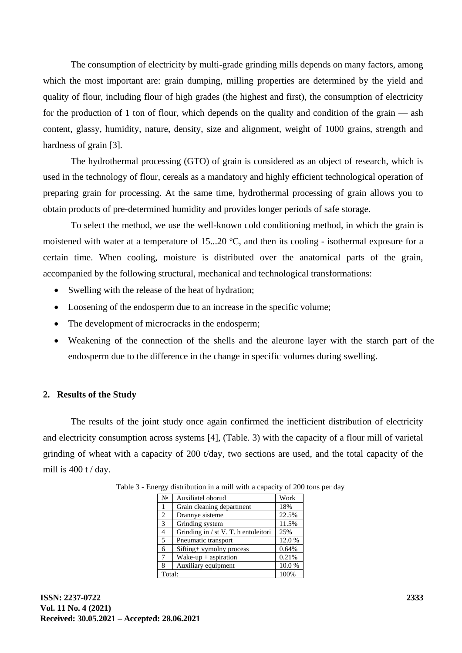The consumption of electricity by multi-grade grinding mills depends on many factors, among which the most important are: grain dumping, milling properties are determined by the yield and quality of flour, including flour of high grades (the highest and first), the consumption of electricity for the production of 1 ton of flour, which depends on the quality and condition of the grain — ash content, glassy, humidity, nature, density, size and alignment, weight of 1000 grains, strength and hardness of grain [3].

The hydrothermal processing (GTO) of grain is considered as an object of research, which is used in the technology of flour, cereals as a mandatory and highly efficient technological operation of preparing grain for processing. At the same time, hydrothermal processing of grain allows you to obtain products of pre-determined humidity and provides longer periods of safe storage.

To select the method, we use the well-known cold conditioning method, in which the grain is moistened with water at a temperature of 15...20  $^{\circ}$ C, and then its cooling - isothermal exposure for a certain time. When cooling, moisture is distributed over the anatomical parts of the grain, accompanied by the following structural, mechanical and technological transformations:

- Swelling with the release of the heat of hydration;
- Loosening of the endosperm due to an increase in the specific volume;
- The development of microcracks in the endosperm;
- Weakening of the connection of the shells and the aleurone layer with the starch part of the endosperm due to the difference in the change in specific volumes during swelling.

# **2. Results of the Study**

The results of the joint study once again confirmed the inefficient distribution of electricity and electricity consumption across systems [4], (Table. 3) with the capacity of a flour mill of varietal grinding of wheat with a capacity of 200 t/day, two sections are used, and the total capacity of the mill is  $400$  t / day.

| N <sub>0</sub> | Auxiliatel oborud                    | Work  |
|----------------|--------------------------------------|-------|
| 1              | Grain cleaning department            | 18%   |
| $\overline{c}$ | Drannye sisteme                      | 22.5% |
| 3              | Grinding system                      | 11.5% |
| 4              | Grinding in / st V. T. h entoleitori | 25%   |
| 5              | Pneumatic transport                  | 12.0% |
| 6              | Sifting+ vymolny process             | 0.64% |
| 7              | Wake-up $+$ aspiration               | 0.21% |
| 8              | Auxiliary equipment                  | 10.0% |
| Total:         | 100%                                 |       |

Table 3 - Energy distribution in a mill with a capacity of 200 tons per day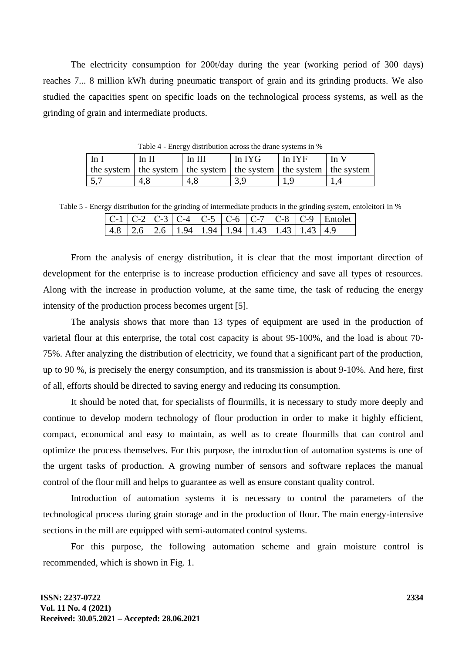The electricity consumption for 200t/day during the year (working period of 300 days) reaches 7... 8 million kWh during pneumatic transport of grain and its grinding products. We also studied the capacities spent on specific loads on the technological process systems, as well as the grinding of grain and intermediate products.

| 1 able 4 - Eliergy distribution across the draile systems in %              |     |                    |  |        |        |  |  |
|-----------------------------------------------------------------------------|-----|--------------------|--|--------|--------|--|--|
| In I<br>In $II$                                                             |     | In IYG<br>In $III$ |  | In IYF | In $V$ |  |  |
| the system   the system   the system   the system   the system   the system |     |                    |  |        |        |  |  |
|                                                                             | 4.8 | 4.8                |  |        |        |  |  |

 $T$  able 4 -  $\Gamma$  and  $\Gamma$  distribution across the drame systems in  $\alpha$ 

Table 5 - Energy distribution for the grinding of intermediate products in the grinding system, entoleitori in %

|  |  |                                                                                                                     |  |  | $ C-1 C-2 C-3 C-4 C-5 C-6 C-7 C-8 C-9 $ Entolet |
|--|--|---------------------------------------------------------------------------------------------------------------------|--|--|-------------------------------------------------|
|  |  | $\mid$ 4.8 $\mid$ 2.6 $\mid$ 2.6 $\mid$ 1.94 $\mid$ 1.94 $\mid$ 1.94 $\mid$ 1.43 $\mid$ 1.43 $\mid$ 1.43 $\mid$ 4.9 |  |  |                                                 |

From the analysis of energy distribution, it is clear that the most important direction of development for the enterprise is to increase production efficiency and save all types of resources. Along with the increase in production volume, at the same time, the task of reducing the energy intensity of the production process becomes urgent [5].

The analysis shows that more than 13 types of equipment are used in the production of varietal flour at this enterprise, the total cost capacity is about 95-100%, and the load is about 70- 75%. After analyzing the distribution of electricity, we found that a significant part of the production, up to 90 %, is precisely the energy consumption, and its transmission is about 9-10%. And here, first of all, efforts should be directed to saving energy and reducing its consumption.

It should be noted that, for specialists of flourmills, it is necessary to study more deeply and continue to develop modern technology of flour production in order to make it highly efficient, compact, economical and easy to maintain, as well as to create flourmills that can control and optimize the process themselves. For this purpose, the introduction of automation systems is one of the urgent tasks of production. A growing number of sensors and software replaces the manual control of the flour mill and helps to guarantee as well as ensure constant quality control.

Introduction of automation systems it is necessary to control the parameters of the technological process during grain storage and in the production of flour. The main energy-intensive sections in the mill are equipped with semi-automated control systems.

For this purpose, the following automation scheme and grain moisture control is recommended, which is shown in Fig. 1.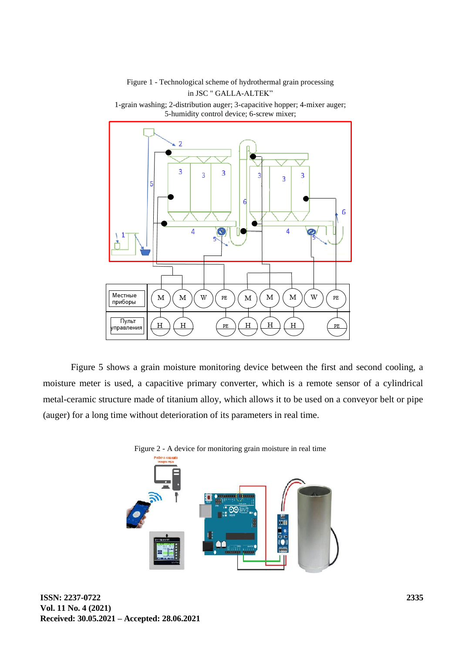### Figure 1 - Technological scheme of hydrothermal grain processing in JSC " GALLA-ALTEK"



1-grain washing; 2-distribution auger; 3-capacitive hopper; 4-mixer auger; 5-humidity control device; 6-screw mixer;

Figure 5 shows a grain moisture monitoring device between the first and second cooling, a moisture meter is used, a capacitive primary converter, which is a remote sensor of a cylindrical metal-ceramic structure made of titanium alloy, which allows it to be used on a conveyor belt or pipe (auger) for a long time without deterioration of its parameters in real time.



Figure 2 - A device for monitoring grain moisture in real time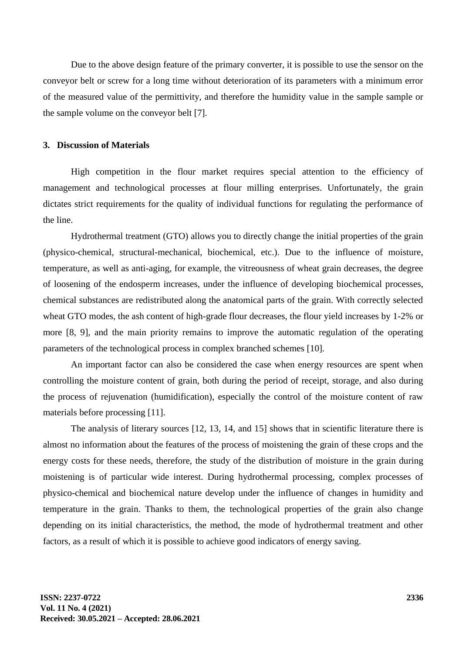Due to the above design feature of the primary converter, it is possible to use the sensor on the conveyor belt or screw for a long time without deterioration of its parameters with a minimum error of the measured value of the permittivity, and therefore the humidity value in the sample sample or the sample volume on the conveyor belt [7].

#### **3. Discussion of Materials**

High competition in the flour market requires special attention to the efficiency of management and technological processes at flour milling enterprises. Unfortunately, the grain dictates strict requirements for the quality of individual functions for regulating the performance of the line.

Hydrothermal treatment (GTO) allows you to directly change the initial properties of the grain (physico-chemical, structural-mechanical, biochemical, etc.). Due to the influence of moisture, temperature, as well as anti-aging, for example, the vitreousness of wheat grain decreases, the degree of loosening of the endosperm increases, under the influence of developing biochemical processes, chemical substances are redistributed along the anatomical parts of the grain. With correctly selected wheat GTO modes, the ash content of high-grade flour decreases, the flour yield increases by 1-2% or more [8, 9], and the main priority remains to improve the automatic regulation of the operating parameters of the technological process in complex branched schemes [10].

An important factor can also be considered the case when energy resources are spent when controlling the moisture content of grain, both during the period of receipt, storage, and also during the process of rejuvenation (humidification), especially the control of the moisture content of raw materials before processing [11].

The analysis of literary sources [12, 13, 14, and 15] shows that in scientific literature there is almost no information about the features of the process of moistening the grain of these crops and the energy costs for these needs, therefore, the study of the distribution of moisture in the grain during moistening is of particular wide interest. During hydrothermal processing, complex processes of physico-chemical and biochemical nature develop under the influence of changes in humidity and temperature in the grain. Thanks to them, the technological properties of the grain also change depending on its initial characteristics, the method, the mode of hydrothermal treatment and other factors, as a result of which it is possible to achieve good indicators of energy saving.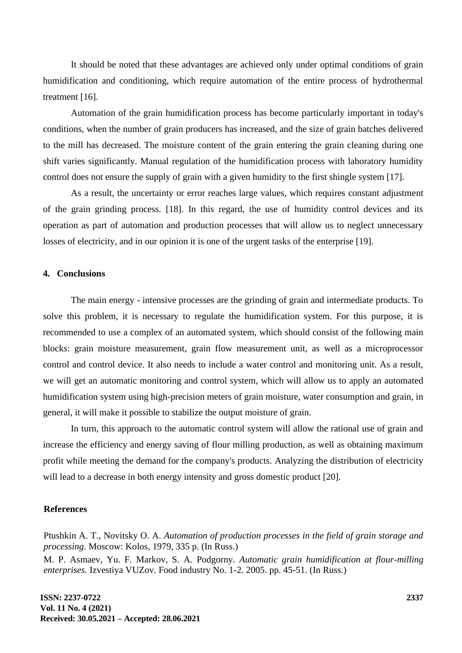It should be noted that these advantages are achieved only under optimal conditions of grain humidification and conditioning, which require automation of the entire process of hydrothermal treatment [16].

Automation of the grain humidification process has become particularly important in today's conditions, when the number of grain producers has increased, and the size of grain batches delivered to the mill has decreased. The moisture content of the grain entering the grain cleaning during one shift varies significantly. Manual regulation of the humidification process with laboratory humidity control does not ensure the supply of grain with a given humidity to the first shingle system [17].

As a result, the uncertainty or error reaches large values, which requires constant adjustment of the grain grinding process. [18]. In this regard, the use of humidity control devices and its operation as part of automation and production processes that will allow us to neglect unnecessary losses of electricity, and in our opinion it is one of the urgent tasks of the enterprise [19].

#### **4. Conclusions**

The main energy - intensive processes are the grinding of grain and intermediate products. To solve this problem, it is necessary to regulate the humidification system. For this purpose, it is recommended to use a complex of an automated system, which should consist of the following main blocks: grain moisture measurement, grain flow measurement unit, as well as a microprocessor control and control device. It also needs to include a water control and monitoring unit. As a result, we will get an automatic monitoring and control system, which will allow us to apply an automated humidification system using high-precision meters of grain moisture, water consumption and grain, in general, it will make it possible to stabilize the output moisture of grain.

In turn, this approach to the automatic control system will allow the rational use of grain and increase the efficiency and energy saving of flour milling production, as well as obtaining maximum profit while meeting the demand for the company's products. Analyzing the distribution of electricity will lead to a decrease in both energy intensity and gross domestic product [20].

#### **References**

Ptushkin A. T., Novitsky O. A. *Automation of production processes in the field of grain storage and processing.* Moscow: Kolos, 1979, 335 p. (In Russ.)

M. P. Asmaev, Yu. F. Markov, S. A. Podgorny. *Automatic grain humidification at flour-milling enterprises.* Izvestiya VUZov. Food industry No. 1-2. 2005. pp. 45-51. (In Russ.)